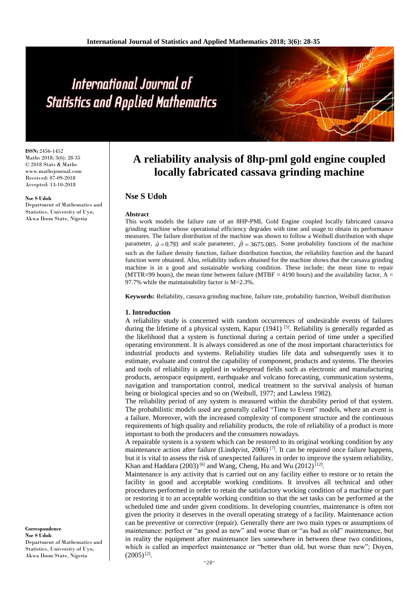# International Journal of **Statistics and Applied Mathematics**

**ISSN:** 2456-1452 Maths 2018; 3(6): 28-35 © 2018 Stats & Maths www.mathsjournal.com Received: 07-09-2018 Accepted: 13-10-2018

#### **Nse S Udoh**

Department of Mathematics and Statistics, University of Uyo, Akwa Ibom State, Nigeria

# **A reliability analysis of 8hp-pml gold engine coupled locally fabricated cassava grinding machine**

# **Nse S Udoh**

#### **Abstract**

This work models the failure rate of an 8HP-PML Gold Engine coupled locally fabricated cassava grinding machine whose operational efficiency degrades with time and usage to obtain its performance measures. The failure distribution of the machine was shown to follow a Weibull distribution with shape parameter,  $\hat{\alpha} = 0.793$  and scale parameter,  $\hat{\beta} = 3675.085$ . Some probability functions of the machine such as the failure density function, failure distribution function, the reliability function and the hazard function were obtained. Also, reliability indices obtained for the machine shows that the cassava grinding machine is in a good and sustainable working condition. These include; the mean time to repair (MTTR=99 hours), the mean time between failure (MTBF = 4190 hours) and the availability factor,  $A =$ 97.7% while the maintainability factor is M=2.3%.

**Keywords:** Reliability, cassava grinding machine, failure rate, probability function, Weibull distribution

#### **1. Introduction**

A reliability study is concerned with random occurrences of undesirable events of failures during the lifetime of a physical system, Kapur (1941) <sup>[5]</sup>. Reliability is generally regarded as the likelihood that a system is functional during a certain period of time under a specified operating environment. It is always considered as one of the most important characteristics for industrial products and systems. Reliability studies life data and subsequently uses it to estimate, evaluate and control the capability of component, products and systems. The theories and tools of reliability is applied in widespread fields such as electronic and manufacturing products, aerospace equipment, earthquake and volcano forecasting, communication systems, navigation and transportation control, medical treatment to the survival analysis of human being or biological species and so on (Weibull, 1977; and Lawless 1982).

The reliability period of any system is measured within the durability period of that system. The probabilistic models used are generally called "Time to Event" models, where an event is a failure. Moreover, with the increased complexity of component structure and the continuous requirements of high quality and reliability products, the role of reliability of a product is more important to both the producers and the consumers nowadays.

A repairable system is a system which can be restored to its original working condition by any maintenance action after failure (Lindqvist, 2006)<sup>[7]</sup>. It can be repaired once failure happens, but it is vital to assess the risk of unexpected failures in order to improve the system reliability, Khan and Haddara  $(2003)^{6}$  and Wang, Cheng, Hu and Wu  $(2012)^{12}$ .

Maintenance is any activity that is carried out on any facility either to restore or to retain the facility in good and acceptable working conditions. It involves all technical and other procedures performed in order to retain the satisfactory working condition of a machine or part or restoring it to an acceptable working condition so that the set tasks can be performed at the scheduled time and under given conditions. In developing countries, maintenance is often not given the priority it deserves in the overall operating strategy of a facility. Maintenance action can be preventive or corrective (repair). Generally there are two main types or assumptions of maintenance: perfect or "as good as new" and worse than or "as bad as old" maintenance, but in reality the equipment after maintenance lies somewhere in between these two conditions, which is called an imperfect maintenance or "better than old, but worse than new"; Doyen,  $(2005)^{[2]}$ .

**Correspondence Nse S Udoh** Department of Mathematics and Statistics, University of Uyo, Akwa Ibom State, Nigeria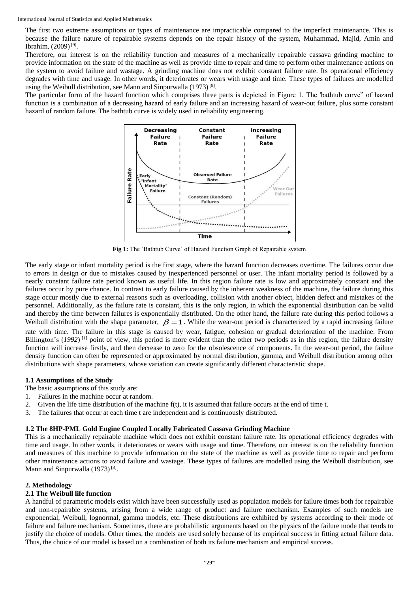The first two extreme assumptions or types of maintenance are impracticable compared to the imperfect maintenance. This is because the failure nature of repairable systems depends on the repair history of the system, Muhammad, Majid, Amin and Ibrahim, (2009)<sup>[9]</sup>.

Therefore, our interest is on the reliability function and measures of a mechanically repairable cassava grinding machine to provide information on the state of the machine as well as provide time to repair and time to perform other maintenance actions on the system to avoid failure and wastage. A grinding machine does not exhibit constant failure rate. Its operational efficiency degrades with time and usage. In other words, it deteriorates or wears with usage and time. These types of failures are modelled using the Weibull distribution, see Mann and Sinpurwalla (1973)<sup>[8]</sup>.

The particular form of the hazard function which comprises three parts is depicted in Figure 1. The 'bathtub curve" of hazard function is a combination of a decreasing hazard of early failure and an increasing hazard of wear-out failure, plus some constant hazard of random failure. The bathtub curve is widely used in reliability engineering.



**Fig 1:** The 'Bathtub Curve' of Hazard Function Graph of Repairable system

The early stage or infant mortality period is the first stage, where the hazard function decreases overtime. The failures occur due to errors in design or due to mistakes caused by inexperienced personnel or user. The infant mortality period is followed by a nearly constant failure rate period known as useful life. In this region failure rate is low and approximately constant and the failures occur by pure chance. In contrast to early failure caused by the inherent weakness of the machine, the failure during this stage occur mostly due to external reasons such as overloading, collision with another object, hidden defect and mistakes of the personnel. Additionally, as the failure rate is constant, this is the only region, in which the exponential distribution can be valid and thereby the time between failures is exponentially distributed. On the other hand, the failure rate during this period follows a Weibull distribution with the shape parameter,  $\beta = 1$ . While the wear-out period is characterized by a rapid increasing failure rate with time. The failure in this stage is caused by wear, fatigue, cohesion or gradual deterioration of the machine. From Billington's (1992)<sup>[1]</sup> point of view, this period is more evident than the other two periods as in this region, the failure density function will increase firstly, and then decrease to zero for the obsolescence of components. In the wear-out period, the failure density function can often be represented or approximated by normal distribution, gamma, and Weibull distribution among other distributions with shape parameters, whose variation can create significantly different characteristic shape.

#### **1.1 Assumptions of the Study**

- The basic assumptions of this study are:
- 1. Failures in the machine occur at random.
- 2. Given the life time distribution of the machine f(t), it is assumed that failure occurs at the end of time t.
- 3. The failures that occur at each time t are independent and is continuously distributed.

#### **1.2 The 8HP-PML Gold Engine Coupled Locally Fabricated Cassava Grinding Machine**

This is a mechanically repairable machine which does not exhibit constant failure rate. Its operational efficiency degrades with time and usage. In other words, it deteriorates or wears with usage and time. Therefore, our interest is on the reliability function and measures of this machine to provide information on the state of the machine as well as provide time to repair and perform other maintenance actions to avoid failure and wastage. These types of failures are modelled using the Weibull distribution, see Mann and Sinpurwalla (1973)<sup>[8]</sup>.

#### **2. Methodology**

#### **2.1 The Weibull life function**

A handful of parametric models exist which have been successfully used as population models for failure times both for repairable and non-repairable systems, arising from a wide range of product and failure mechanism. Examples of such models are exponential, Weibull, lognormal, gamma models, etc. These distributions are exhibited by systems according to their mode of failure and failure mechanism. Sometimes, there are probabilistic arguments based on the physics of the failure mode that tends to justify the choice of models. Other times, the models are used solely because of its empirical success in fitting actual failure data. Thus, the choice of our model is based on a combination of both its failure mechanism and empirical success.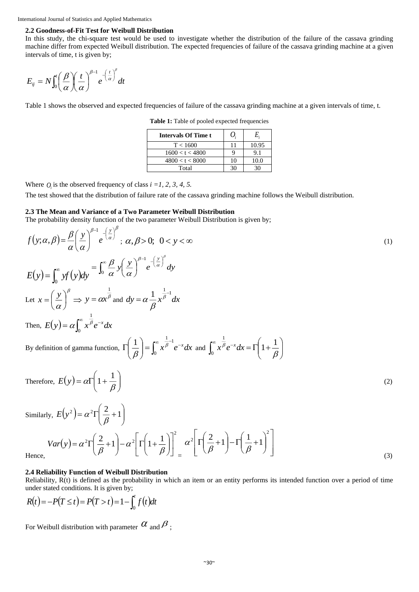### **2.2 Goodness-of-Fit Test for Weibull Distribution**

 $\overline{a}$ 

In this study, the chi-square test would be used to investigate whether the distribution of the failure of the cassava grinding machine differ from expected Weibull distribution. The expected frequencies of failure of the cassava grinding machine at a given intervals of time, t is given by;

$$
E_{ij} = N \int_0^t \left(\frac{\beta}{\alpha}\right) \left(\frac{t}{\alpha}\right)^{\beta-1} e^{-\left(\frac{t}{\alpha}\right)^{\beta}} dt
$$

Table 1 shows the observed and expected frequencies of failure of the cassava grinding machine at a given intervals of time, t.

**Table 1:** Table of pooled expected frequencies

| Intervals Of Time t | 0. | E.    |
|---------------------|----|-------|
| T < 1600            | 11 | 10.95 |
| 1600 < t < 4800     |    | 9.1   |
| 4800 < t < 8000     | 10 | 10.0  |
| Total               | 30 |       |

Where  $Q_i$  is the observed frequency of class  $i = 1, 2, 3, 4, 5$ .

The test showed that the distribution of failure rate of the cassava grinding machine follows the Weibull distribution.

#### **2.3 The Mean and Variance of a Two Parameter Weibull Distribution**

The probability density function of the two parameter Weibull Distribution is given by;

$$
f(y; \alpha, \beta) = \frac{\beta}{\alpha} \left( \frac{y}{\alpha} \right)^{\beta - 1} e^{-\left( \frac{y}{\alpha} \right)^{\beta}}; \ \alpha, \beta > 0; \ 0 < y < \infty
$$
\n
$$
E(y) = \int_0^\infty y f(y) dy = \int_0^\infty \frac{\beta}{\alpha} y \left( \frac{y}{\alpha} \right)^{\beta - 1} e^{-\left( \frac{y}{\alpha} \right)^{\beta}} dy
$$
\nLet  $x = \left( \frac{y}{\alpha} \right)^{\beta} \Rightarrow y = \alpha x^{\frac{1}{\beta}}$  and  $dy = \alpha \frac{1}{\beta} x^{\frac{1}{\beta} - 1} dx$   
\nThen,  $E(y) = \alpha \int_0^\infty x^{\frac{1}{\beta}} e^{-x} dx$   
\nBy definition of gamma function,  $\Gamma \left( \frac{1}{\beta} \right) = \int_0^\infty x^{\frac{1}{\beta} - 1} e^{-x} dx$  and  $\int_0^\infty x^{\frac{1}{\beta}} e^{-x} dx = \Gamma \left( 1 + \frac{1}{\beta} \right)$   
\nTherefore,  $E(y) = \alpha \Gamma \left( 1 + \frac{1}{\beta} \right)$   
\nSimilarly,  $E(y^2) = \alpha^2 \Gamma \left( \frac{2}{\beta} + 1 \right)$   
\n $Var(y) = \alpha^2 \Gamma \left( \frac{2}{\beta} + 1 \right) - \alpha^2 \left[ \Gamma \left( 1 + \frac{1}{\beta} \right) \right]_0^2 \quad \alpha^2 \left[ \Gamma \left( \frac{2}{\beta} + 1 \right) - \Gamma \left( \frac{1}{\beta} + 1 \right)^2 \right]$   
\nHence, (3)

#### **2.4 Reliability Function of Weibull Distribution**

Reliability, R(t) is defined as the probability in which an item or an entity performs its intended function over a period of time under stated conditions. It is given by;

$$
R(t) = -P(T \le t) = P(T > t) = 1 - \int_0^t f(t)dt
$$

For Weibull distribution with parameter  $\alpha$  and  $\beta$  ;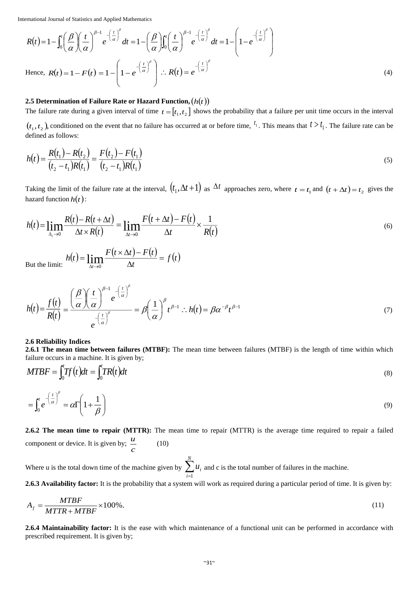International Journal of Statistics and Applied Mathematics

$$
R(t) = 1 - \int_0^t \left(\frac{\beta}{\alpha}\right) \left(\frac{t}{\alpha}\right)^{\beta - 1} e^{-\left(\frac{t}{\alpha}\right)^{\beta}} dt = 1 - \left(\frac{\beta}{\alpha}\right) \int_0^t \left(\frac{t}{\alpha}\right)^{\beta - 1} e^{-\left(\frac{t}{\alpha}\right)^{\beta}} dt = 1 - \left(1 - e^{-\left(\frac{t}{\alpha}\right)^{\beta}}\right)
$$
  
Hence,  $R(t) = 1 - F(t) = 1 - \left(1 - e^{-\left(\frac{t}{\alpha}\right)^{\beta}}\right) \therefore R(t) = e^{-\left(\frac{t}{\alpha}\right)^{\beta}}$  (4)

# **2.5** Determination of Failure Rate or Hazard Function,  $(h(t))$

The failure rate during a given interval of time  $t = [t_1, t_2]$  shows the probability that a failure per unit time occurs in the interval

 $(t_1, t_2)$ , conditioned on the event that no failure has occurred at or before time,  $t_1$ . This means that  $t > t_1$ . The failure rate can be defined as follows:

$$
h(t) = \frac{R(t_1) - R(t_2)}{(t_2 - t_1)R(t_1)} = \frac{F(t_2) - F(t_1)}{(t_2 - t_1)R(t_1)}
$$
\n(5)

Taking the limit of the failure rate at the interval,  $(t_1, \Delta t + 1)$  as  $\Delta t$  approaches zero, where  $t = t_1$  and  $(t + \Delta t) = t_2$  gives the hazard function  $h(t)$ :

$$
h(t) = \lim_{\Delta_t \to 0} \frac{R(t) - R(t + \Delta t)}{\Delta t \times R(t)} = \lim_{\Delta t \to 0} \frac{F(t + \Delta t) - F(t)}{\Delta t} \times \frac{1}{R(t)}
$$
(6)

But the limit:  $h(t) = \lim_{\Delta t \to 0} \frac{F(t \times \Delta t) - F(t)}{\Delta t} = f(t)$  $h(t) = \lim_{h \to 0} \frac{F(t \times \Delta t) - F(t)}{h}$  $\frac{1}{\Delta t}$  =  $=\lim_{\Delta t\to 0}\frac{F(t\times \Delta t)-F(t\times \Delta t)}{\Delta t}$ 

$$
h(t) = \frac{f(t)}{R(t)} = \frac{\left(\frac{\beta}{\alpha}\right)\left(\frac{t}{\alpha}\right)^{\beta-1}e^{-\left(\frac{t}{\alpha}\right)^{\beta}}}{e^{-\left(\frac{t}{\alpha}\right)^{\beta}}} = \beta\left(\frac{1}{\alpha}\right)^{\beta}t^{\beta-1} \therefore h(t) = \beta\alpha^{-\beta}t^{\beta-1}
$$
\n(7)

#### **2.6 Reliability Indices**

**2.6.1 The mean time between failures (MTBF):** The mean time between failures (MTBF) is the length of time within which failure occurs in a machine. It is given by;

$$
MTBF = \int_0^t Tf(t)dt = \int_0^t TR(t)dt
$$
\n(8)

$$
= \int_0^t e^{-\left(\frac{t}{\alpha}\right)^\beta} = \alpha \Gamma\left(1 + \frac{1}{\beta}\right) \tag{9}
$$

**2.6.2 The mean time to repair (MTTR):** The mean time to repair (MTTR) is the average time required to repair a failed component or device. It is given by;  $\frac{a}{c}$ *u* (10)

Where u is the total down time of the machine given by  $\sum_{i=1}^{n}$ *N i i u* 1 and c is the total number of failures in the machine.

**2.6.3 Availability factor:** It is the probability that a system will work as required during a particular period of time. It is given by:

$$
A_f = \frac{MTBF}{MTTR + MTBF} \times 100\% \tag{11}
$$

**2.6.4 Maintainability factor:** It is the ease with which maintenance of a functional unit can be performed in accordance with prescribed requirement. It is given by;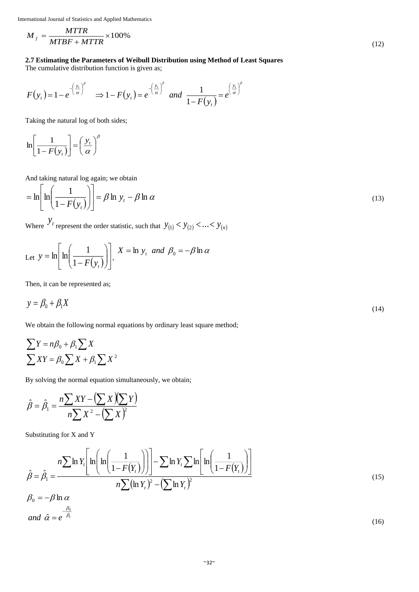International Journal of Statistics and Applied Mathematics

$$
M_{f} = \frac{MTTR}{MTBF + MTTR} \times 100\%
$$

# **2.7 Estimating the Parameters of Weibull Distribution using Method of Least Squares**

The cumulative distribution function is given as;

$$
F(y_t) = 1 - e^{-\left(\frac{y_t}{\alpha}\right)^\beta} \implies 1 - F(y_t) = e^{-\left(\frac{y_t}{\alpha}\right)^\beta} \text{ and } \frac{1}{1 - F(y_t)} = e^{\left(\frac{y_t}{\alpha}\right)^\beta}
$$

Taking the natural log of both sides;

$$
\ln\left[\frac{1}{1-F(y_t)}\right] = \left(\frac{y_t}{\alpha}\right)^{\beta}
$$

And taking natural log again; we obtain

$$
= \ln \left[ \ln \left( \frac{1}{1 - F(y_t)} \right) \right] = \beta \ln y_t - \beta \ln \alpha \tag{13}
$$

Where  $y_t$  represent the order statistic, such that  $y_{(1)} < y_{(2)} < ... < y_{(n)}$ 

Let 
$$
y = \ln \left[ \ln \left( \frac{1}{1 - F(y_t)} \right) \right]
$$
,  $X = \ln y_t$  and  $\beta_0 = -\beta \ln \alpha$ 

Then, it can be represented as;

$$
y = \beta_0 + \beta_1 X \tag{14}
$$

We obtain the following normal equations by ordinary least square method;

$$
\sum Y = n\beta_0 + \beta_1 \sum X
$$
  

$$
\sum XY = \beta_0 \sum X + \beta_1 \sum X^2
$$

By solving the normal equation simultaneously, we obtain;

$$
\hat{\beta} = \hat{\beta}_1 = \frac{n\sum XY - (\sum X)(\sum Y)}{n\sum X^2 - (\sum X)^2}
$$

Substituting for X and Y

$$
\hat{\beta} = \hat{\beta}_1 = \frac{n \sum \ln Y_t \left[ \ln \left( \ln \left( \frac{1}{1 - F(Y_t)} \right) \right) \right] - \sum \ln Y_t \sum \ln \left[ \ln \left( \frac{1}{1 - F(Y_t)} \right) \right]}{n \sum (\ln Y_t)^2 - (\sum \ln Y_t)^2}
$$
\n(15)

$$
\beta_0 = -\beta \ln \alpha
$$
  
and  $\hat{\alpha} = e^{-\frac{\beta_0}{\beta_1}}$  (16)

(12)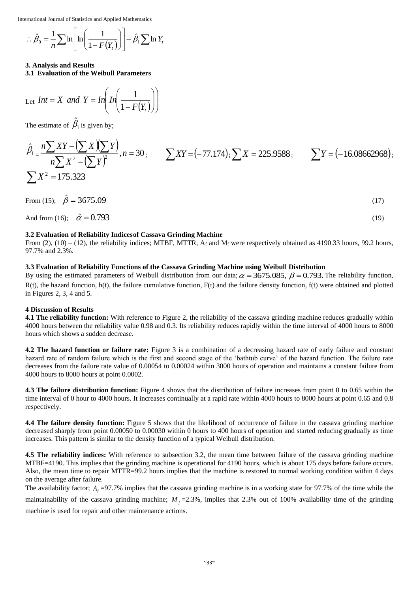International Journal of Statistics and Applied Mathematics

$$
\therefore \hat{\beta}_0 = \frac{1}{n} \sum \ln \left[ \ln \left( \frac{1}{1 - F(Y_t)} \right) \right] - \hat{\beta}_1 \sum \ln Y_t
$$

# **3. Analysis and Results**

**3.1 Evaluation of the Weibull Parameters**

Let 
$$
Int = X
$$
 and  $Y = In\left( \frac{1}{1 - F(Y_t)} \right)$ 

The estimate of  $\beta_1$  $\beta_1$  is given by;

ˆ

$$
\hat{\beta}_1 = \frac{n \sum XY - (\sum X)(\sum Y)}{n \sum X^2 - (\sum Y)^2}, n = 30; \qquad \sum XY = (-77.174); \sum X = 225.9588; \qquad \sum Y = (-16.08662968); \qquad \sum X^2 = 175.323
$$

From (15);  $\hat{\beta} = 3675.09$ (17)

And from (16);  $\hat{\alpha} = 0.793$ 

# **3.2 Evaluation of Reliability Indicesof Cassava Grinding Machine**

From (2), (10) – (12), the reliability indices; MTBF, MTTR,  $A_f$  and  $M_f$  were respectively obtained as 4190.33 hours, 99.2 hours, 97.7% and 2.3%.

(19)

# **3.3 Evaluation of Reliability Functions of the Cassava Grinding Machine using Weibull Distribution**

I I

By using the estimated parameters of Weibull distribution from our data;  $\alpha = 3675.085$ ,  $\beta = 0.793$ . The reliability function,  $R(t)$ , the hazard function, h(t), the failure cumulative function,  $F(t)$  and the failure density function,  $f(t)$  were obtained and plotted in Figures 2, 3, 4 and 5.

# **4 Discussion of Results**

**4.1 The reliability function:** With reference to Figure 2, the reliability of the cassava grinding machine reduces gradually within 4000 hours between the reliability value 0.98 and 0.3. Its reliability reduces rapidly within the time interval of 4000 hours to 8000 hours which shows a sudden decrease.

**4.2 The hazard function or failure rate:** Figure 3 is a combination of a decreasing hazard rate of early failure and constant hazard rate of random failure which is the first and second stage of the 'bathtub curve' of the hazard function. The failure rate decreases from the failure rate value of 0.00054 to 0.00024 within 3000 hours of operation and maintains a constant failure from 4000 hours to 8000 hours at point 0.0002.

**4.3 The failure distribution function:** Figure 4 shows that the distribution of failure increases from point 0 to 0.65 within the time interval of 0 hour to 4000 hours. It increases continually at a rapid rate within 4000 hours to 8000 hours at point 0.65 and 0.8 respectively.

**4.4 The failure density function:** Figure 5 shows that the likelihood of occurrence of failure in the cassava grinding machine decreased sharply from point 0.00050 to 0.00030 within 0 hours to 400 hours of operation and started reducing gradually as time increases. This pattern is similar to the density function of a typical Weibull distribution.

**4.5 The reliability indices:** With reference to subsection 3.2, the mean time between failure of the cassava grinding machine MTBF=4190. This implies that the grinding machine is operational for 4190 hours, which is about 175 days before failure occurs. Also, the mean time to repair MTTR=99.2 hours implies that the machine is restored to normal working condition within 4 days on the average after failure.

The availability factor;  $A_f$  =97.7% implies that the cassava grinding machine is in a working state for 97.7% of the time while the

maintainability of the cassava grinding machine;  $M_f$ =2.3%, implies that 2.3% out of 100% availability time of the grinding

machine is used for repair and other maintenance actions.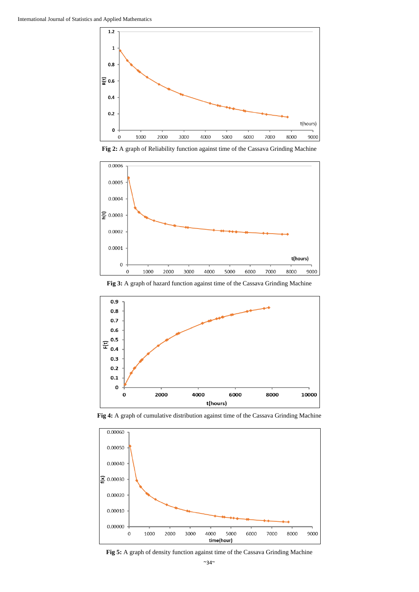





**Fig 3:** A graph of hazard function against time of the Cassava Grinding Machine



**Fig 4:** A graph of cumulative distribution against time of the Cassava Grinding Machine



**Fig 5:** A graph of density function against time of the Cassava Grinding Machine